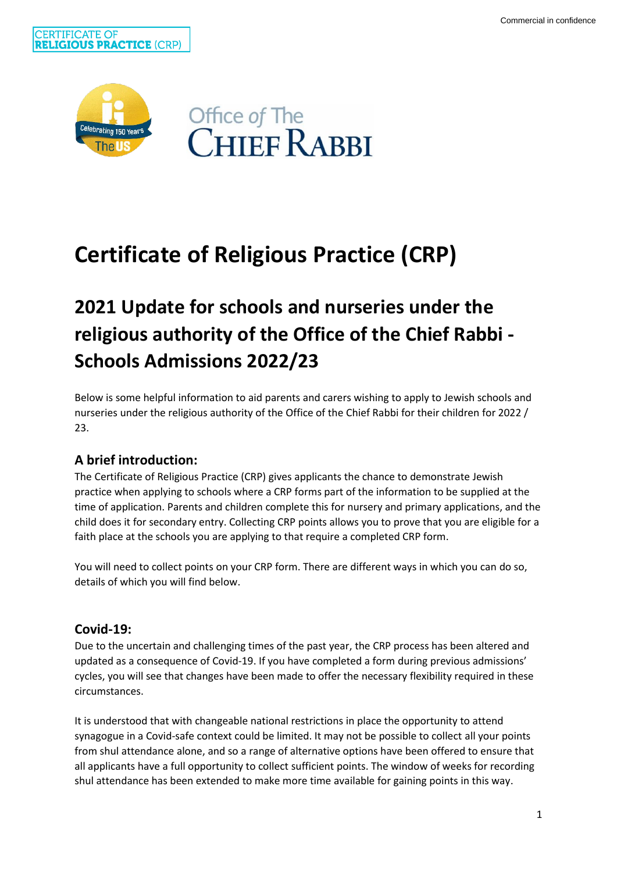



# **Certificate of Religious Practice (CRP)**

# **2021 Update for schools and nurseries under the religious authority of the Office of the Chief Rabbi - Schools Admissions 2022/23**

Below is some helpful information to aid parents and carers wishing to apply to Jewish schools and nurseries under the religious authority of the Office of the Chief Rabbi for their children for 2022 / 23.

# **A brief introduction:**

The Certificate of Religious Practice (CRP) gives applicants the chance to demonstrate Jewish practice when applying to schools where a CRP forms part of the information to be supplied at the time of application. Parents and children complete this for nursery and primary applications, and the child does it for secondary entry. Collecting CRP points allows you to prove that you are eligible for a faith place at the schools you are applying to that require a completed CRP form.

You will need to collect points on your CRP form. There are different ways in which you can do so, details of which you will find below.

# **Covid-19:**

Due to the uncertain and challenging times of the past year, the CRP process has been altered and updated as a consequence of Covid-19. If you have completed a form during previous admissions' cycles, you will see that changes have been made to offer the necessary flexibility required in these circumstances.

It is understood that with changeable national restrictions in place the opportunity to attend synagogue in a Covid-safe context could be limited. It may not be possible to collect all your points from shul attendance alone, and so a range of alternative options have been offered to ensure that all applicants have a full opportunity to collect sufficient points. The window of weeks for recording shul attendance has been extended to make more time available for gaining points in this way.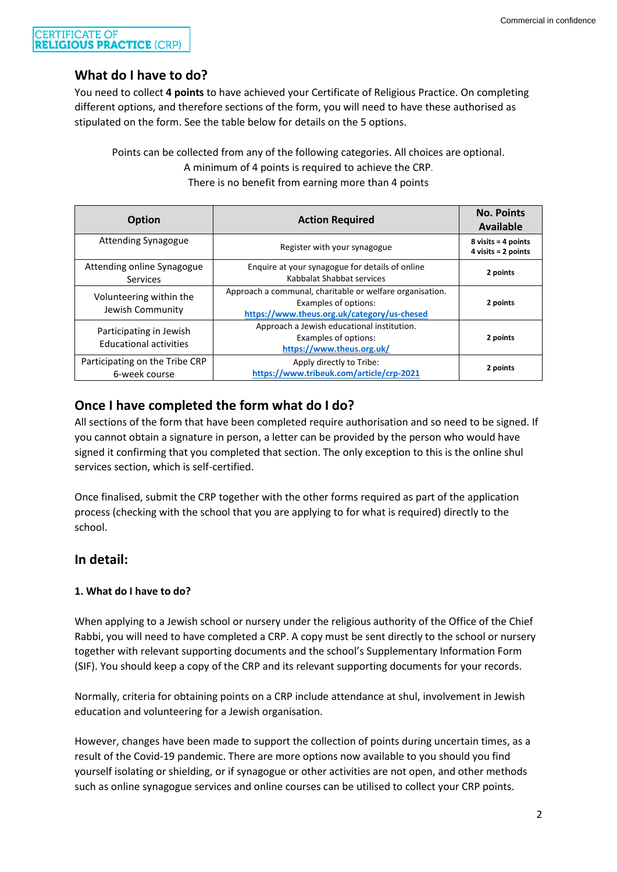#### **CERTIFICATE OF RELIGIOUS PRACTICE (CRP)**

# **What do I have to do?**

You need to collect **4 points** to have achieved your Certificate of Religious Practice. On completing different options, and therefore sections of the form, you will need to have these authorised as stipulated on the form. See the table below for details on the 5 options.

Points can be collected from any of the following categories. All choices are optional. A minimum of 4 points is required to achieve the CRP. There is no benefit from earning more than 4 points

| <b>Option</b>                                            | <b>Action Required</b>                                                                                                          | <b>No. Points</b><br><b>Available</b>                                          |
|----------------------------------------------------------|---------------------------------------------------------------------------------------------------------------------------------|--------------------------------------------------------------------------------|
| <b>Attending Synagogue</b>                               | Register with your synagogue                                                                                                    | $8 \text{ visits} = 4 \text{ points}$<br>$4 \text{ visits} = 2 \text{ points}$ |
| Attending online Synagogue<br>Services                   | Enquire at your synagogue for details of online<br>Kabbalat Shabbat services                                                    | 2 points                                                                       |
| Volunteering within the<br>Jewish Community              | Approach a communal, charitable or welfare organisation.<br>Examples of options:<br>https://www.theus.org.uk/category/us-chesed | 2 points                                                                       |
| Participating in Jewish<br><b>Educational activities</b> | Approach a Jewish educational institution.<br>Examples of options:<br>https://www.theus.org.uk/                                 | 2 points                                                                       |
| Participating on the Tribe CRP<br>6-week course          | Apply directly to Tribe:<br>https://www.tribeuk.com/article/crp-2021                                                            | 2 points                                                                       |

**Once I have completed the form what do I do?**

All sections of the form that have been completed require authorisation and so need to be signed. If you cannot obtain a signature in person, a letter can be provided by the person who would have signed it confirming that you completed that section. The only exception to this is the online shul services section, which is self-certified.

Once finalised, submit the CRP together with the other forms required as part of the application process (checking with the school that you are applying to for what is required) directly to the school.

# **In detail:**

# **1. What do I have to do?**

When applying to a Jewish school or nursery under the religious authority of the Office of the Chief Rabbi, you will need to have completed a CRP. A copy must be sent directly to the school or nursery together with relevant supporting documents and the school's Supplementary Information Form (SIF). You should keep a copy of the CRP and its relevant supporting documents for your records.

Normally, criteria for obtaining points on a CRP include attendance at shul, involvement in Jewish education and volunteering for a Jewish organisation.

However, changes have been made to support the collection of points during uncertain times, as a result of the Covid-19 pandemic. There are more options now available to you should you find yourself isolating or shielding, or if synagogue or other activities are not open, and other methods such as online synagogue services and online courses can be utilised to collect your CRP points.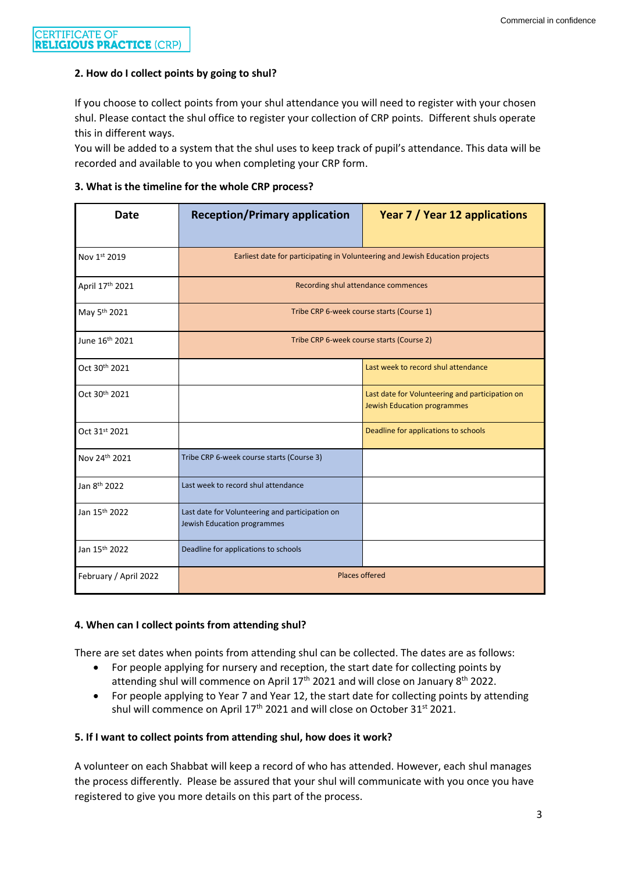#### **2. How do I collect points by going to shul?**

If you choose to collect points from your shul attendance you will need to register with your chosen shul. Please contact the shul office to register your collection of CRP points.Different shuls operate this in different ways.

You will be added to a system that the shul uses to keep track of pupil's attendance. This data will be recorded and available to you when completing your CRP form.

#### **3. What is the timeline for the whole CRP process?**

| <b>Date</b>                | <b>Reception/Primary application</b>                                           | Year 7 / Year 12 applications                                                         |  |
|----------------------------|--------------------------------------------------------------------------------|---------------------------------------------------------------------------------------|--|
| Nov 1st 2019               | Earliest date for participating in Volunteering and Jewish Education projects  |                                                                                       |  |
| April 17th 2021            | Recording shul attendance commences                                            |                                                                                       |  |
| May 5 <sup>th</sup> 2021   | Tribe CRP 6-week course starts (Course 1)                                      |                                                                                       |  |
| June 16 <sup>th</sup> 2021 | Tribe CRP 6-week course starts (Course 2)                                      |                                                                                       |  |
| Oct 30th 2021              |                                                                                | Last week to record shul attendance                                                   |  |
| Oct 30th 2021              |                                                                                | Last date for Volunteering and participation on<br><b>Jewish Education programmes</b> |  |
| Oct 31st 2021              |                                                                                | Deadline for applications to schools                                                  |  |
| Nov 24th 2021              | Tribe CRP 6-week course starts (Course 3)                                      |                                                                                       |  |
| Jan 8 <sup>th</sup> 2022   | Last week to record shul attendance                                            |                                                                                       |  |
| Jan 15 <sup>th</sup> 2022  | Last date for Volunteering and participation on<br>Jewish Education programmes |                                                                                       |  |
| Jan 15th 2022              | Deadline for applications to schools                                           |                                                                                       |  |
| February / April 2022      | <b>Places offered</b>                                                          |                                                                                       |  |

#### **4. When can I collect points from attending shul?**

There are set dates when points from attending shul can be collected. The dates are as follows:

- For people applying for nursery and reception, the start date for collecting points by attending shul will commence on April 17<sup>th</sup> 2021 and will close on January 8<sup>th</sup> 2022.
- For people applying to Year 7 and Year 12, the start date for collecting points by attending shul will commence on April 17<sup>th</sup> 2021 and will close on October 31<sup>st</sup> 2021.

#### **5. If I want to collect points from attending shul, how does it work?**

A volunteer on each Shabbat will keep a record of who has attended. However, each shul manages the process differently. Please be assured that your shul will communicate with you once you have registered to give you more details on this part of the process.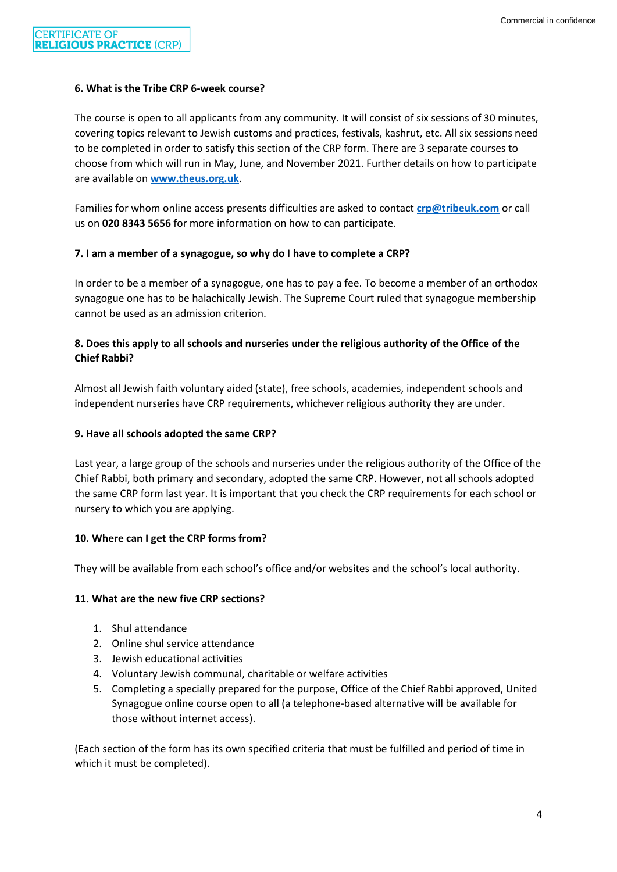#### **6. What is the Tribe CRP 6-week course?**

The course is open to all applicants from any community. It will consist of six sessions of 30 minutes, covering topics relevant to Jewish customs and practices, festivals, kashrut, etc. All six sessions need to be completed in order to satisfy this section of the CRP form. There are 3 separate courses to choose from which will run in May, June, and November 2021. Further details on how to participate are available on **[www.theus.org.uk](http://www.theus.org.uk/)**.

Families for whom online access presents difficulties are asked to contact **[crp@tribeuk.com](mailto:crp@tribeuk.com)** or call us on **020 8343 5656** for more information on how to can participate.

#### **7. I am a member of a synagogue, so why do I have to complete a CRP?**

In order to be a member of a synagogue, one has to pay a fee. To become a member of an orthodox synagogue one has to be halachically Jewish. The Supreme Court ruled that synagogue membership cannot be used as an admission criterion.

### **8. Does this apply to all schools and nurseries under the religious authority of the Office of the Chief Rabbi?**

Almost all Jewish faith voluntary aided (state), free schools, academies, independent schools and independent nurseries have CRP requirements, whichever religious authority they are under.

#### **9. Have all schools adopted the same CRP?**

Last year, a large group of the schools and nurseries under the religious authority of the Office of the Chief Rabbi, both primary and secondary, adopted the same CRP. However, not all schools adopted the same CRP form last year. It is important that you check the CRP requirements for each school or nursery to which you are applying.

#### **10. Where can I get the CRP forms from?**

They will be available from each school's office and/or websites and the school's local authority.

#### **11. What are the new five CRP sections?**

- 1. Shul attendance
- 2. Online shul service attendance
- 3. Jewish educational activities
- 4. Voluntary Jewish communal, charitable or welfare activities
- 5. Completing a specially prepared for the purpose, Office of the Chief Rabbi approved, United Synagogue online course open to all (a telephone-based alternative will be available for those without internet access).

(Each section of the form has its own specified criteria that must be fulfilled and period of time in which it must be completed).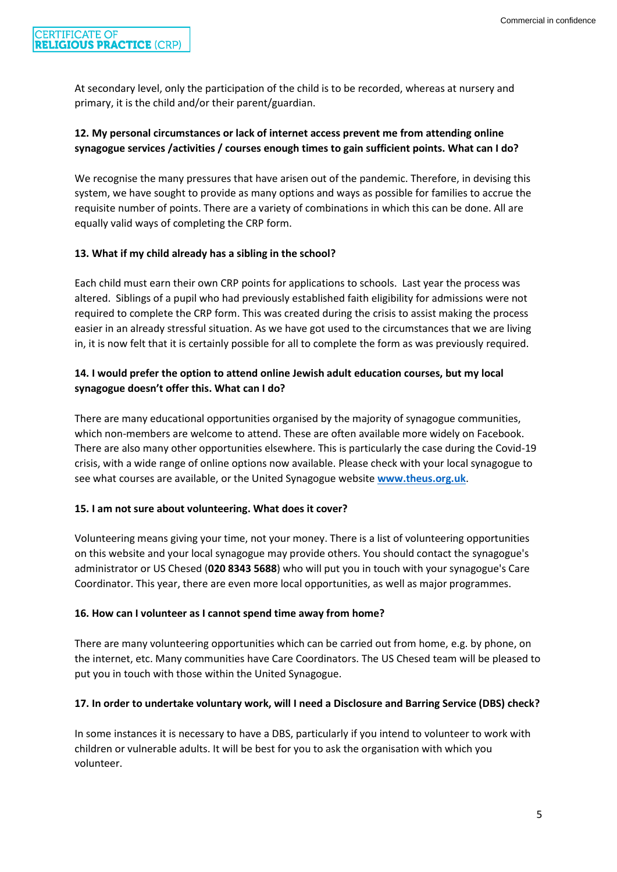At secondary level, only the participation of the child is to be recorded, whereas at nursery and primary, it is the child and/or their parent/guardian.

# **12. My personal circumstances or lack of internet access prevent me from attending online synagogue services /activities / courses enough times to gain sufficient points. What can I do?**

We recognise the many pressures that have arisen out of the pandemic. Therefore, in devising this system, we have sought to provide as many options and ways as possible for families to accrue the requisite number of points. There are a variety of combinations in which this can be done. All are equally valid ways of completing the CRP form.

## **13. What if my child already has a sibling in the school?**

Each child must earn their own CRP points for applications to schools. Last year the process was altered. Siblings of a pupil who had previously established faith eligibility for admissions were not required to complete the CRP form. This was created during the crisis to assist making the process easier in an already stressful situation. As we have got used to the circumstances that we are living in, it is now felt that it is certainly possible for all to complete the form as was previously required.

# **14. I would prefer the option to attend online Jewish adult education courses, but my local synagogue doesn't offer this. What can I do?**

There are many educational opportunities organised by the majority of synagogue communities, which non-members are welcome to attend. These are often available more widely on Facebook. There are also many other opportunities elsewhere. This is particularly the case during the Covid-19 crisis, with a wide range of online options now available. Please check with your local synagogue to see what courses are available, or the United Synagogue website **[www.theus.org.uk](http://www.theus.org.uk/)**.

## **15. I am not sure about volunteering. What does it cover?**

Volunteering means giving your time, not your money. There is a list of volunteering opportunities on this website and your local synagogue may provide others. You should contact the synagogue's administrator or US Chesed (**020 8343 5688**) who will put you in touch with your synagogue's Care Coordinator. This year, there are even more local opportunities, as well as major programmes.

## **16. How can I volunteer as I cannot spend time away from home?**

There are many volunteering opportunities which can be carried out from home, e.g. by phone, on the internet, etc. Many communities have Care Coordinators. The US Chesed team will be pleased to put you in touch with those within the United Synagogue.

## **17. In order to undertake voluntary work, will I need a Disclosure and Barring Service (DBS) check?**

In some instances it is necessary to have a DBS, particularly if you intend to volunteer to work with children or vulnerable adults. It will be best for you to ask the organisation with which you volunteer.